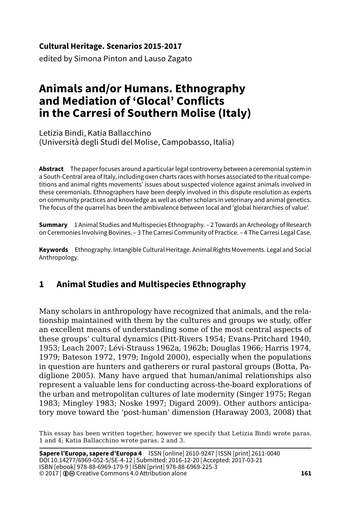#### **Cultural Heritage. Scenarios 2015-2017**

edited by Simona Pinton and Lauso Zagato

# **Animals and/or Humans. Ethnography and Mediation of 'Glocal' Conflicts in the Carresi of Southern Molise (Italy)**

Letizia Bindi, Katia Ballacchino (Università degli Studi del Molise, Campobasso, Italia)

**Abstract** The paper focuses around a particular legal controversy between a ceremonial system in a South-Central area of Italy, including oxen charts races with horses associated to the ritual competitions and animal rights movements' issues about suspected violence against animals involved in these ceremonials. Ethnographers have been deeply involved in this dispute resolution as experts on community practices and knowledge as well as other scholars in veterinary and animal genetics. The focus of the quarrel has been the ambivalence between local and 'global hierarchies of value'.

**Summary** 1 Animal Studies and Multispecies Ethnography. – 2 Towards an Archeology of Research on Ceremonies Involving Bovines. – 3 The Carresi Community of Practice. – 4 The Carresi Legal Case.

**Keywords** Ethnography. Intangible Cultural Heritage. Animal Rights Movements. Legal and Social Anthropology.

# **1 Animal Studies and Multispecies Ethnography**

Many scholars in anthropology have recognized that animals, and the relationship maintained with them by the cultures and groups we study, offer an excellent means of understanding some of the most central aspects of these groups' cultural dynamics (Pitt-Rivers 1954; Evans-Pritchard 1940, 1953; Leach 2007; Lévi-Strauss 1962a, 1962b; Douglas 1966; Harris 1974, 1979; Bateson 1972, 1979; Ingold 2000), especially when the populations in question are hunters and gatherers or rural pastoral groups (Botta, Padiglione 2005). Many have argued that human/animal relationships also represent a valuable lens for conducting across-the-board explorations of the urban and metropolitan cultures of late modernity (Singer 1975; Regan 1983; Mingley 1983; Noske 1997; Digard 2009). Other authors anticipatory move toward the 'post-human' dimension (Haraway 2003, 2008) that

This essay has been written together, however we specify that Letizia Bindi wrote paras. 1 and 4; Katia Ballacchino wrote paras. 2 and 3.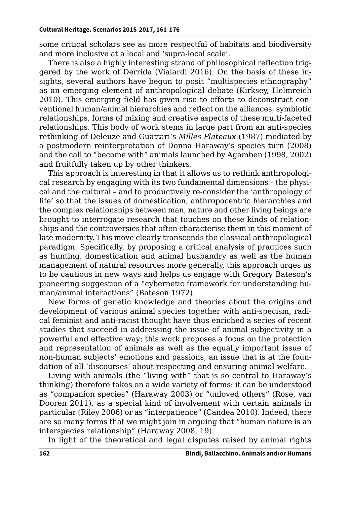some critical scholars see as more respectful of habitats and biodiversity and more inclusive at a local and 'supra-local scale'.

There is also a highly interesting strand of philosophical reflection triggered by the work of Derrida (Vialardi 2016). On the basis of these insights, several authors have begun to posit "multispecies ethnography" as an emerging element of anthropological debate (Kirksey, Helmreich 2010). This emerging field has given rise to efforts to deconstruct conventional human/animal hierarchies and reflect on the alliances, symbiotic relationships, forms of mixing and creative aspects of these multi-faceted relationships. This body of work stems in large part from an anti-species rethinking of Deleuze and Guattari's *Milles Plateaux* (1987) mediated by a postmodern reinterpretation of Donna Haraway's species turn (2008) and the call to "become with" animals launched by Agamben (1998, 2002) and fruitfully taken up by other thinkers.

This approach is interesting in that it allows us to rethink anthropological research by engaging with its two fundamental dimensions – the physical and the cultural – and to productively re-consider the 'anthropology of life' so that the issues of domestication, anthropocentric hierarchies and the complex relationships between man, nature and other living beings are brought to interrogate research that touches on these kinds of relationships and the controversies that often characterise them in this moment of late modernity. This move clearly transcends the classical anthropological paradigm. Specifically, by proposing a critical analysis of practices such as hunting, domestication and animal husbandry as well as the human management of natural resources more generally, this approach urges us to be cautious in new ways and helps us engage with Gregory Bateson's pioneering suggestion of a "cybernetic framework for understanding human/animal interactions" (Bateson 1972).

New forms of genetic knowledge and theories about the origins and development of various animal species together with anti-specism, radical feminist and anti-racist thought have thus enriched a series of recent studies that succeed in addressing the issue of animal subjectivity in a powerful and effective way; this work proposes a focus on the protection and representation of animals as well as the equally important issue of non-human subjects' emotions and passions, an issue that is at the foundation of all 'discourses' about respecting and ensuring animal welfare.

Living with animals (the "living with" that is so central to Haraway's thinking) therefore takes on a wide variety of forms: it can be understood as "companion species" (Haraway 2003) or "unloved others" (Rose, van Dooren 2011), as a special kind of involvement with certain animals in particular (Riley 2006) or as "interpatience" (Candea 2010). Indeed, there are so many forms that we might join in arguing that "human nature is an interspecies relationship" (Haraway 2008, 19).

In light of the theoretical and legal disputes raised by animal rights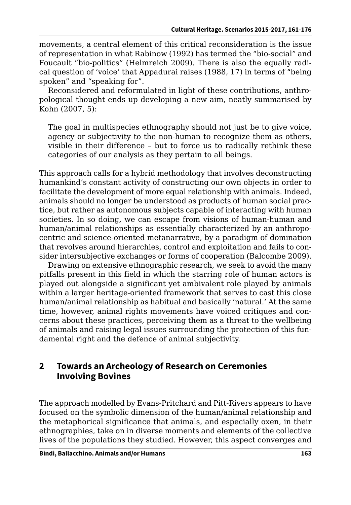movements, a central element of this critical reconsideration is the issue of representation in what Rabinow (1992) has termed the "bio-social" and Foucault "bio-politics" (Helmreich 2009). There is also the equally radical question of 'voice' that Appadurai raises (1988, 17) in terms of "being spoken" and "speaking for".

Reconsidered and reformulated in light of these contributions, anthropological thought ends up developing a new aim, neatly summarised by Kohn (2007, 5):

The goal in multispecies ethnography should not just be to give voice, agency or subjectivity to the non-human to recognize them as others, visible in their difference – but to force us to radically rethink these categories of our analysis as they pertain to all beings.

This approach calls for a hybrid methodology that involves deconstructing humankind's constant activity of constructing our own objects in order to facilitate the development of more equal relationship with animals. Indeed, animals should no longer be understood as products of human social practice, but rather as autonomous subjects capable of interacting with human societies. In so doing, we can escape from visions of human-human and human/animal relationships as essentially characterized by an anthropocentric and science-oriented metanarrative, by a paradigm of domination that revolves around hierarchies, control and exploitation and fails to consider intersubjective exchanges or forms of cooperation (Balcombe 2009).

Drawing on extensive ethnographic research, we seek to avoid the many pitfalls present in this field in which the starring role of human actors is played out alongside a significant yet ambivalent role played by animals within a larger heritage-oriented framework that serves to cast this close human/animal relationship as habitual and basically 'natural.' At the same time, however, animal rights movements have voiced critiques and concerns about these practices, perceiving them as a threat to the wellbeing of animals and raising legal issues surrounding the protection of this fundamental right and the defence of animal subjectivity.

#### **2 Towards an Archeology of Research on Ceremonies Involving Bovines**

The approach modelled by Evans-Pritchard and Pitt-Rivers appears to have focused on the symbolic dimension of the human/animal relationship and the metaphorical significance that animals, and especially oxen, in their ethnographies, take on in diverse moments and elements of the collective lives of the populations they studied. However, this aspect converges and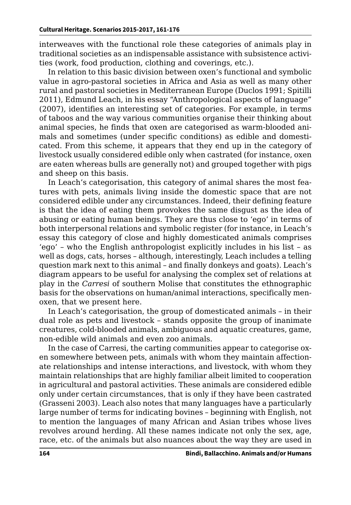interweaves with the functional role these categories of animals play in traditional societies as an indispensable assistance with subsistence activities (work, food production, clothing and coverings, etc.).

In relation to this basic division between oxen's functional and symbolic value in agro-pastoral societies in Africa and Asia as well as many other rural and pastoral societies in Mediterranean Europe (Duclos 1991; Spitilli 2011), Edmund Leach, in his essay "Anthropological aspects of language" (2007), identifies an interesting set of categories. For example, in terms of taboos and the way various communities organise their thinking about animal species, he finds that oxen are categorised as warm-blooded animals and sometimes (under specific conditions) as edible and domesticated. From this scheme, it appears that they end up in the category of livestock usually considered edible only when castrated (for instance, oxen are eaten whereas bulls are generally not) and grouped together with pigs and sheep on this basis.

In Leach's categorisation, this category of animal shares the most features with pets, animals living inside the domestic space that are not considered edible under any circumstances. Indeed, their defining feature is that the idea of eating them provokes the same disgust as the idea of abusing or eating human beings. They are thus close to 'ego' in terms of both interpersonal relations and symbolic register (for instance, in Leach's essay this category of close and highly domesticated animals comprises 'ego' – who the English anthropologist explicitly includes in his list – as well as dogs, cats, horses – although, interestingly, Leach includes a telling question mark next to this animal – and finally donkeys and goats). Leach's diagram appears to be useful for analysing the complex set of relations at play in the *Carresi* of southern Molise that constitutes the ethnographic basis for the observations on human/animal interactions, specifically menoxen, that we present here.

In Leach's categorisation, the group of domesticated animals – in their dual role as pets and livestock – stands opposite the group of inanimate creatures, cold-blooded animals, ambiguous and aquatic creatures, game, non-edible wild animals and even zoo animals.

In the case of Carresi, the carting communities appear to categorise oxen somewhere between pets, animals with whom they maintain affectionate relationships and intense interactions, and livestock, with whom they maintain relationships that are highly familiar albeit limited to cooperation in agricultural and pastoral activities. These animals are considered edible only under certain circumstances, that is only if they have been castrated (Grasseni 2003). Leach also notes that many languages have a particularly large number of terms for indicating bovines – beginning with English, not to mention the languages of many African and Asian tribes whose lives revolves around herding. All these names indicate not only the sex, age, race, etc. of the animals but also nuances about the way they are used in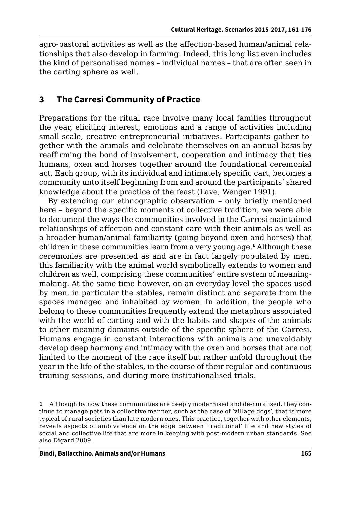agro-pastoral activities as well as the affection-based human/animal relationships that also develop in farming. Indeed, this long list even includes the kind of personalised names – individual names – that are often seen in the carting sphere as well.

### **3 The Carresi Community of Practice**

Preparations for the ritual race involve many local families throughout the year, eliciting interest, emotions and a range of activities including small-scale, creative entrepreneurial initiatives. Participants gather together with the animals and celebrate themselves on an annual basis by reaffirming the bond of involvement, cooperation and intimacy that ties humans, oxen and horses together around the foundational ceremonial act. Each group, with its individual and intimately specific cart, becomes a community unto itself beginning from and around the participants' shared knowledge about the practice of the feast (Lave, Wenger 1991).

By extending our ethnographic observation – only briefly mentioned here – beyond the specific moments of collective tradition, we were able to document the ways the communities involved in the Carresi maintained relationships of affection and constant care with their animals as well as a broader human/animal familiarity (going beyond oxen and horses) that children in these communities learn from a very young age.**<sup>1</sup>** Although these ceremonies are presented as and are in fact largely populated by men, this familiarity with the animal world symbolically extends to women and children as well, comprising these communities' entire system of meaningmaking. At the same time however, on an everyday level the spaces used by men, in particular the stables, remain distinct and separate from the spaces managed and inhabited by women. In addition, the people who belong to these communities frequently extend the metaphors associated with the world of carting and with the habits and shapes of the animals to other meaning domains outside of the specific sphere of the Carresi. Humans engage in constant interactions with animals and unavoidably develop deep harmony and intimacy with the oxen and horses that are not limited to the moment of the race itself but rather unfold throughout the year in the life of the stables, in the course of their regular and continuous training sessions, and during more institutionalised trials.

**<sup>1</sup>** Although by now these communities are deeply modernised and de-ruralised, they continue to manage pets in a collective manner, such as the case of 'village dogs', that is more typical of rural societies than late modern ones. This practice, together with other elements, reveals aspects of ambivalence on the edge between 'traditional' life and new styles of social and collective life that are more in keeping with post-modern urban standards. See also Digard 2009.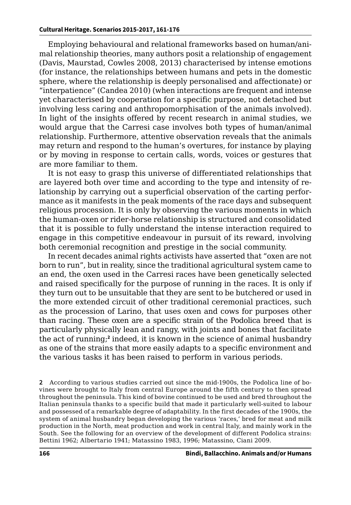Employing behavioural and relational frameworks based on human/animal relationship theories, many authors posit a relationship of engagement (Davis, Maurstad, Cowles 2008, 2013) characterised by intense emotions (for instance, the relationships between humans and pets in the domestic sphere, where the relationship is deeply personalised and affectionate) or "interpatience" (Candea 2010) (when interactions are frequent and intense yet characterised by cooperation for a specific purpose, not detached but involving less caring and anthropomorphisation of the animals involved). In light of the insights offered by recent research in animal studies, we would argue that the Carresi case involves both types of human/animal relationship. Furthermore, attentive observation reveals that the animals may return and respond to the human's overtures, for instance by playing or by moving in response to certain calls, words, voices or gestures that are more familiar to them.

It is not easy to grasp this universe of differentiated relationships that are layered both over time and according to the type and intensity of relationship by carrying out a superficial observation of the carting performance as it manifests in the peak moments of the race days and subsequent religious procession. It is only by observing the various moments in which the human-oxen or rider-horse relationship is structured and consolidated that it is possible to fully understand the intense interaction required to engage in this competitive endeavour in pursuit of its reward, involving both ceremonial recognition and prestige in the social community.

In recent decades animal rights activists have asserted that "oxen are not born to run", but in reality, since the traditional agricultural system came to an end, the oxen used in the Carresi races have been genetically selected and raised specifically for the purpose of running in the races. It is only if they turn out to be unsuitable that they are sent to be butchered or used in the more extended circuit of other traditional ceremonial practices, such as the procession of Larino, that uses oxen and cows for purposes other than racing. These oxen are a specific strain of the Podolica breed that is particularly physically lean and rangy, with joints and bones that facilitate the act of running;**<sup>2</sup>** indeed, it is known in the science of animal husbandry as one of the strains that more easily adapts to a specific environment and the various tasks it has been raised to perform in various periods.

**2** According to various studies carried out since the mid-1900s, the Podolica line of bovines were brought to Italy from central Europe around the fifth century to then spread throughout the peninsula. This kind of bovine continued to be used and bred throughout the Italian peninsula thanks to a specific build that made it particularly well-suited to labour and possessed of a remarkable degree of adaptability. In the first decades of the 1900s, the system of animal husbandry began developing the various 'races,' bred for meat and milk production in the North, meat production and work in central Italy, and mainly work in the South. See the following for an overview of the development of different Podolica strains: Bettini 1962; Albertario 1941; Matassino 1983, 1996; Matassino, Ciani 2009.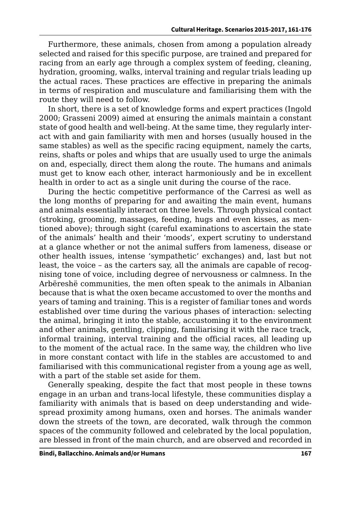Furthermore, these animals, chosen from among a population already selected and raised for this specific purpose, are trained and prepared for racing from an early age through a complex system of feeding, cleaning, hydration, grooming, walks, interval training and regular trials leading up the actual races. These practices are effective in preparing the animals in terms of respiration and musculature and familiarising them with the route they will need to follow.

In short, there is a set of knowledge forms and expert practices (Ingold 2000; Grasseni 2009) aimed at ensuring the animals maintain a constant state of good health and well-being. At the same time, they regularly interact with and gain familiarity with men and horses (usually housed in the same stables) as well as the specific racing equipment, namely the carts, reins, shafts or poles and whips that are usually used to urge the animals on and, especially, direct them along the route. The humans and animals must get to know each other, interact harmoniously and be in excellent health in order to act as a single unit during the course of the race.

During the hectic competitive performance of the Carresi as well as the long months of preparing for and awaiting the main event, humans and animals essentially interact on three levels. Through physical contact (stroking, grooming, massages, feeding, hugs and even kisses, as mentioned above); through sight (careful examinations to ascertain the state of the animals' health and their 'moods', expert scrutiny to understand at a glance whether or not the animal suffers from lameness, disease or other health issues, intense 'sympathetic' exchanges) and, last but not least, the voice – as the carters say, all the animals are capable of recognising tone of voice, including degree of nervousness or calmness. In the Arbëreshë communities, the men often speak to the animals in Albanian because that is what the oxen became accustomed to over the months and years of taming and training. This is a register of familiar tones and words established over time during the various phases of interaction: selecting the animal, bringing it into the stable, accustoming it to the environment and other animals, gentling, clipping, familiarising it with the race track, informal training, interval training and the official races, all leading up to the moment of the actual race. In the same way, the children who live in more constant contact with life in the stables are accustomed to and familiarised with this communicational register from a young age as well, with a part of the stable set aside for them.

Generally speaking, despite the fact that most people in these towns engage in an urban and trans-local lifestyle, these communities display a familiarity with animals that is based on deep understanding and widespread proximity among humans, oxen and horses. The animals wander down the streets of the town, are decorated, walk through the common spaces of the community followed and celebrated by the local population, are blessed in front of the main church, and are observed and recorded in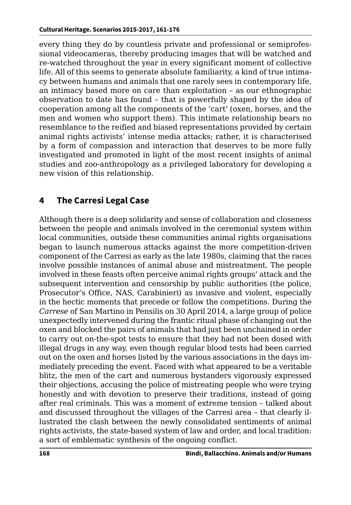every thing they do by countless private and professional or semiprofessional videocameras, thereby producing images that will be watched and re-watched throughout the year in every significant moment of collective life. All of this seems to generate absolute familiarity, a kind of true intimacy between humans and animals that one rarely sees in contemporary life, an intimacy based more on care than exploitation – as our ethnographic observation to date has found – that is powerfully shaped by the idea of cooperation among all the components of the 'cart' (oxen, horses, and the men and women who support them). This intimate relationship bears no resemblance to the reified and biased representations provided by certain animal rights activists' intense media attacks; rather, it is characterised by a form of compassion and interaction that deserves to be more fully investigated and promoted in light of the most recent insights of animal studies and zoo-anthropology as a privileged laboratory for developing a new vision of this relationship.

## **4 The Carresi Legal Case**

Although there is a deep solidarity and sense of collaboration and closeness between the people and animals involved in the ceremonial system within local communities, outside these communities animal rights organisations began to launch numerous attacks against the more competition-driven component of the Carresi as early as the late 1980s, claiming that the races involve possible instances of animal abuse and mistreatment. The people involved in these feasts often perceive animal rights groups' attack and the subsequent intervention and censorship by public authorities (the police, Prosecutor's Office, NAS, Carabinieri) as invasive and violent, especially in the hectic moments that precede or follow the competitions. During the *Carrese* of San Martino in Pensilis on 30 April 2014, a large group of police unexpectedly intervened during the frantic ritual phase of changing out the oxen and blocked the pairs of animals that had just been unchained in order to carry out on-the-spot tests to ensure that they had not been dosed with illegal drugs in any way, even though regular blood tests had been carried out on the oxen and horses listed by the various associations in the days immediately preceding the event. Faced with what appeared to be a veritable blitz, the men of the cart and numerous bystanders vigorously expressed their objections, accusing the police of mistreating people who were trying honestly and with devotion to preserve their traditions, instead of going after real criminals. This was a moment of extreme tension – talked about and discussed throughout the villages of the Carresi area – that clearly illustrated the clash between the newly consolidated sentiments of animal rights activists, the state-based system of law and order, and local tradition: a sort of emblematic synthesis of the ongoing conflict.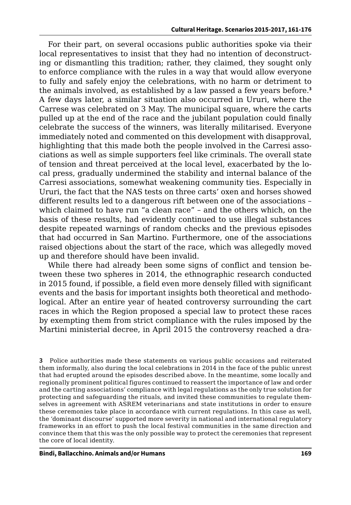For their part, on several occasions public authorities spoke via their local representatives to insist that they had no intention of deconstructing or dismantling this tradition; rather, they claimed, they sought only to enforce compliance with the rules in a way that would allow everyone to fully and safely enjoy the celebrations, with no harm or detriment to the animals involved, as established by a law passed a few years before.**<sup>3</sup>** A few days later, a similar situation also occurred in Ururi, where the Carrese was celebrated on 3 May. The municipal square, where the carts pulled up at the end of the race and the jubilant population could finally celebrate the success of the winners, was literally militarised. Everyone immediately noted and commented on this development with disapproval, highlighting that this made both the people involved in the Carresi associations as well as simple supporters feel like criminals. The overall state of tension and threat perceived at the local level, exacerbated by the local press, gradually undermined the stability and internal balance of the Carresi associations, somewhat weakening community ties. Especially in Ururi, the fact that the NAS tests on three carts' oxen and horses showed different results led to a dangerous rift between one of the associations – which claimed to have run "a clean race" – and the others which, on the basis of these results, had evidently continued to use illegal substances despite repeated warnings of random checks and the previous episodes that had occurred in San Martino. Furthermore, one of the associations raised objections about the start of the race, which was allegedly moved up and therefore should have been invalid.

While there had already been some signs of conflict and tension between these two spheres in 2014, the ethnographic research conducted in 2015 found, if possible, a field even more densely filled with significant events and the basis for important insights both theoretical and methodological. After an entire year of heated controversy surrounding the cart races in which the Region proposed a special law to protect these races by exempting them from strict compliance with the rules imposed by the Martini ministerial decree, in April 2015 the controversy reached a dra-

**3** Police authorities made these statements on various public occasions and reiterated them informally, also during the local celebrations in 2014 in the face of the public unrest that had erupted around the episodes described above. In the meantime, some locally and regionally prominent political figures continued to reassert the importance of law and order and the carting associations' compliance with legal regulations as the only true solution for protecting and safeguarding the rituals, and invited these communities to regulate themselves in agreement with ASREM veterinarians and state institutions in order to ensure these ceremonies take place in accordance with current regulations. In this case as well, the 'dominant discourse' supported more severity in national and international regulatory frameworks in an effort to push the local festival communities in the same direction and convince them that this was the only possible way to protect the ceremonies that represent the core of local identity.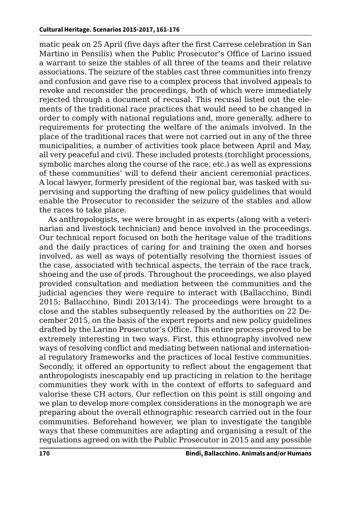matic peak on 25 April (five days after the first Carrese celebration in San Martino in Pensilis) when the Public Prosecutor's Office of Larino issued a warrant to seize the stables of all three of the teams and their relative associations. The seizure of the stables cast three communities into frenzy and confusion and gave rise to a complex process that involved appeals to revoke and reconsider the proceedings, both of which were immediately rejected through a document of recusal. This recusal listed out the elements of the traditional race practices that would need to be changed in order to comply with national regulations and, more generally, adhere to requirements for protecting the welfare of the animals involved. In the place of the traditional races that were not carried out in any of the three municipalities, a number of activities took place between April and May, all very peaceful and civil. These included protests (torchlight processions, symbolic marches along the course of the race, etc.) as well as expressions of these communities' will to defend their ancient ceremonial practices. A local lawyer, formerly president of the regional bar, was tasked with supervising and supporting the drafting of new policy guidelines that would enable the Prosecutor to reconsider the seizure of the stables and allow the races to take place.

As anthropologists, we were brought in as experts (along with a veterinarian and livestock technician) and hence involved in the proceedings. Our technical report focused on both the heritage value of the traditions and the daily practices of caring for and training the oxen and horses involved, as well as ways of potentially resolving the thorniest issues of the case, associated with technical aspects, the terrain of the race track, shoeing and the use of prods. Throughout the proceedings, we also played provided consultation and mediation between the communities and the judicial agencies they were require to interact with (Ballacchino, Bindi 2015; Ballacchino, Bindi 2013/14). The proceedings were brought to a close and the stables subsequently released by the authorities on 22 December 2015, on the basis of the expert reports and new policy guidelines drafted by the Larino Prosecutor's Office. This entire process proved to be extremely interesting in two ways. First, this ethnography involved new ways of resolving conflict and mediating between national and international regulatory frameworks and the practices of local festive communities. Secondly, it offered an opportunity to reflect about the engagement that anthropologists inescapably end up practicing in relation to the heritage communities they work with in the context of efforts to safeguard and valorise these CH actors. Our reflection on this point is still ongoing and we plan to develop more complex considerations in the monograph we are preparing about the overall ethnographic research carried out in the four communities. Beforehand however, we plan to investigate the tangible ways that these communities are adapting and organising a result of the regulations agreed on with the Public Prosecutor in 2015 and any possible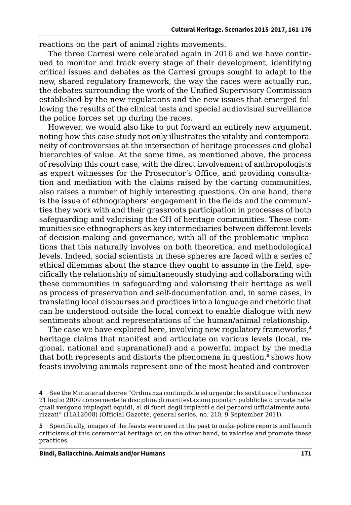reactions on the part of animal rights movements.

The three Carresi were celebrated again in 2016 and we have continued to monitor and track every stage of their development, identifying critical issues and debates as the Carresi groups sought to adapt to the new, shared regulatory framework, the way the races were actually run, the debates surrounding the work of the Unified Supervisory Commission established by the new regulations and the new issues that emerged following the results of the clinical tests and special audiovisual surveillance the police forces set up during the races.

However, we would also like to put forward an entirely new argument, noting how this case study not only illustrates the vitality and contemporaneity of controversies at the intersection of heritage processes and global hierarchies of value. At the same time, as mentioned above, the process of resolving this court case, with the direct involvement of anthropologists as expert witnesses for the Prosecutor's Office, and providing consultation and mediation with the claims raised by the carting communities, also raises a number of highly interesting questions. On one hand, there is the issue of ethnographers' engagement in the fields and the communities they work with and their grassroots participation in processes of both safeguarding and valorising the CH of heritage communities. These communities see ethnographers as key intermediaries between different levels of decision-making and governance, with all of the problematic implications that this naturally involves on both theoretical and methodological levels. Indeed, social scientists in these spheres are faced with a series of ethical dilemmas about the stance they ought to assume in the field, specifically the relationship of simultaneously studying and collaborating with these communities in safeguarding and valorising their heritage as well as process of preservation and self-documentation and, in some cases, in translating local discourses and practices into a language and rhetoric that can be understood outside the local context to enable dialogue with new sentiments about and representations of the human/animal relationship.

The case we have explored here, involving new regulatory frameworks,**<sup>4</sup>** heritage claims that manifest and articulate on various levels (local, regional, national and supranational) and a powerful impact by the media that both represents and distorts the phenomena in question,**<sup>5</sup>** shows how feasts involving animals represent one of the most heated and controver-

**<sup>4</sup>** See the Ministerial decree "Ordinanza contingibile ed urgente che sostituisce l'ordinanza 21 luglio 2009 concernente la disciplina di manifestazioni popolari pubbliche o private nelle quali vengono impiegati equidi, al di fuori degli impianti e dei percorsi ufficialmente autorizzati" (11A12008) (Official Gazette, general series, no. 210, 9 September 2011).

**<sup>5</sup>** Specifically, images of the feasts were used in the past to make police reports and launch criticisms of this ceremonial heritage or, on the other hand, to valorise and promote these practices.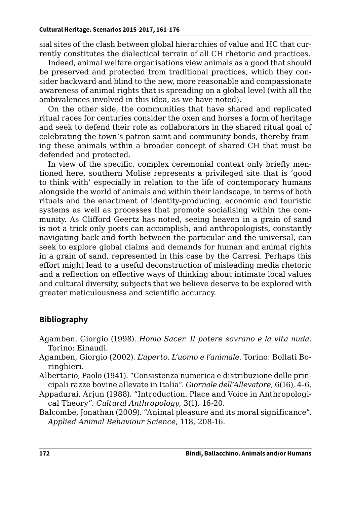sial sites of the clash between global hierarchies of value and HC that currently constitutes the dialectical terrain of all CH rhetoric and practices.

Indeed, animal welfare organisations view animals as a good that should be preserved and protected from traditional practices, which they consider backward and blind to the new, more reasonable and compassionate awareness of animal rights that is spreading on a global level (with all the ambivalences involved in this idea, as we have noted).

On the other side, the communities that have shared and replicated ritual races for centuries consider the oxen and horses a form of heritage and seek to defend their role as collaborators in the shared ritual goal of celebrating the town's patron saint and community bonds, thereby framing these animals within a broader concept of shared CH that must be defended and protected.

In view of the specific, complex ceremonial context only briefly mentioned here, southern Molise represents a privileged site that is 'good to think with' especially in relation to the life of contemporary humans alongside the world of animals and within their landscape, in terms of both rituals and the enactment of identity-producing, economic and touristic systems as well as processes that promote socialising within the community. As Clifford Geertz has noted, seeing heaven in a grain of sand is not a trick only poets can accomplish, and anthropologists, constantly navigating back and forth between the particular and the universal, can seek to explore global claims and demands for human and animal rights in a grain of sand, represented in this case by the Carresi. Perhaps this effort might lead to a useful deconstruction of misleading media rhetoric and a reflection on effective ways of thinking about intimate local values and cultural diversity, subjects that we believe deserve to be explored with greater meticulousness and scientific accuracy.

#### **Bibliography**

- Agamben, Giorgio (1998). *Homo Sacer. Il potere sovrano e la vita nuda*. Torino: Einaudi.
- Agamben, Giorgio (2002). *L'aperto. L'uomo e l'animale*. Torino: Bollati Boringhieri.

Albertario, Paolo (1941). "Consistenza numerica e distribuzione delle principali razze bovine allevate in Italia". *Giornale dell'Allevatore*, 6(16), 4-6.

Appadurai, Arjun (1988). "Introduction. Place and Voice in Anthropological Theory". *Cultural Anthropology*, 3(1), 16-20.

Balcombe, Jonathan (2009). "Animal pleasure and its moral significance". *Applied Animal Behaviour Science*, 118, 208-16.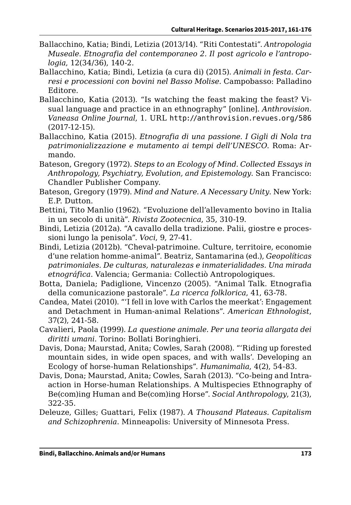- Ballacchino, Katia; Bindi, Letizia (2013/14). "Riti Contestati". *Antropologia Museale*. *Etnografia del contemporaneo 2. Il post agricolo e l'antropologia*, 12(34/36), 140-2.
- Ballacchino, Katia; Bindi, Letizia (a cura di) (2015). *Animali in festa. Carresi e processioni con bovini nel Basso Molise*. Campobasso: Palladino Editore.
- Ballacchino, Katia (2013). "Is watching the feast making the feast? Visual language and practice in an ethnography" [online]. *Anthrovision. Vaneasa Online Journal*, 1. URL [http://anthrovision.revues.org/586](http://anthrovision.revues.org/586 )  (2017-12-15).
- Ballacchino, Katia (2015). *Etnografia di una passione. I Gigli di Nola tra patrimonializzazione e mutamento ai tempi dell'UNESCO*. Roma: Armando.
- Bateson, Gregory (1972). *Steps to an Ecology of Mind. Collected Essays in Anthropology, Psychiatry, Evolution, and Epistemology*. San Francisco: Chandler Publisher Company.
- Bateson, Gregory (1979). *Mind and Nature. A Necessary Unity*. New York: E.P. Dutton.
- Bettini, Tito Manlio (1962). "Evoluzione dell'allevamento bovino in Italia in un secolo di unità". *Rivista Zootecnica*, 35, 310-19.
- Bindi, Letizia (2012a). "A cavallo della tradizione. Palii, giostre e processioni lungo la penisola". *Voci*, 9, 27-41.
- Bindi, Letizia (2012b). "Cheval-patrimoine. Culture, territoire, economie d'une relation homme-animal". Beatriz, Santamarina (ed.), *Geopolíticas patrimoniales. De culturas, naturalezas e inmaterialidades. Una mirada etnográfica*. Valencia; Germania: Collectiò Antropologiques.
- Botta, Daniela; Padiglione, Vincenzo (2005). "Animal Talk. Etnografia della comunicazione pastorale". *La ricerca folklorica*, 41, 63-78.
- Candea, Matei (2010). "'I fell in love with Carlos the meerkat': Engagement and Detachment in Human-animal Relations". *American Ethnologist*, 37(2), 241-58.
- Cavalieri, Paola (1999). *La questione animale. Per una teoria allargata dei diritti umani*. Torino: Bollati Boringhieri.
- Davis, Dona; Maurstad, Anita; Cowles, Sarah (2008). "'Riding up forested mountain sides, in wide open spaces, and with walls'. Developing an Ecology of horse-human Relationships". *Humanimalia*, 4(2), 54-83.
- Davis, Dona; Maurstad, Anita; Cowles, Sarah (2013). "Co-being and Intraaction in Horse-human Relationships. A Multispecies Ethnography of Be(com)ing Human and Be(com)ing Horse". *Social Anthropology*, 21(3), 322-35.
- Deleuze, Gilles; Guattari, Felix (1987). *A Thousand Plateaus. Capitalism and Schizophrenia*. Minneapolis: University of Minnesota Press.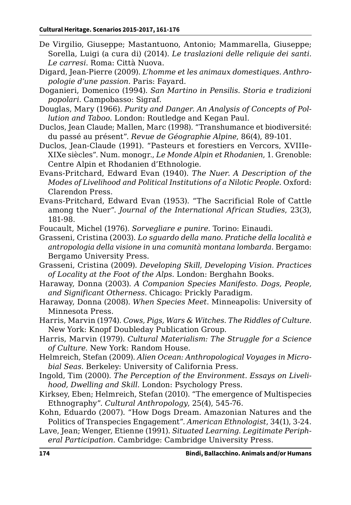- De Virgilio, Giuseppe; Mastantuono, Antonio; Mammarella, Giuseppe; Sorella, Luigi (a cura di) (2014). *Le traslazioni delle reliquie dei santi. Le carresi*. Roma: Città Nuova.
- Digard, Jean-Pierre (2009). *L'homme et les animaux domestiques. Anthropologie d'une passion*. Paris: Fayard.
- Doganieri, Domenico (1994). *San Martino in Pensilis. Storia e tradizioni popolari*. Campobasso: Sigraf.
- Douglas, Mary (1966). *Purity and Danger. An Analysis of Concepts of Pollution and Taboo*. London: Routledge and Kegan Paul.
- Duclos, Jean Claude; Mallen, Marc (1998). "Transhumance et biodiversité: du passé au présent". *Revue de Géographie Alpine*, 86(4), 89-101.
- Duclos, Jean-Claude (1991). "Pasteurs et forestiers en Vercors, XVIIIe-XIXe siècles". Num. monogr., *Le Monde Alpin et Rhodanien*, 1. Grenoble: Centre Alpin et Rhodanien d'Ethnologie.
- Evans-Pritchard, Edward Evan (1940). *The Nuer. A Description of the Modes of Livelihood and Political Institutions of a Nilotic People*. Oxford: Clarendon Press.
- Evans-Pritchard, Edward Evan (1953). "The Sacrificial Role of Cattle among the Nuer". *Journal of the International African Studies*, 23(3), 181-98.
- Foucault, Michel (1976). *Sorvegliare e punire*. Torino: Einaudi.
- Grasseni, Cristina (2003). *Lo sguardo della mano. Pratiche della località e antropologia della visione in una comunità montana lombarda*. Bergamo: Bergamo University Press.
- Grasseni, Cristina (2009). *Developing Skill, Developing Vision. Practices of Locality at the Foot of the Alps*. London: Berghahn Books.
- Haraway, Donna (2003). *A Companion Species Manifesto. Dogs, People, and Significant Otherness*. Chicago: Prickly Paradigm.
- Haraway, Donna (2008). *When Species Meet*. Minneapolis: University of Minnesota Press.
- Harris, Marvin (1974). *Cows, Pigs, Wars & Witches. The Riddles of Culture*. New York: Knopf Doubleday Publication Group.
- Harris, Marvin (1979). *Cultural Materialism: The Struggle for a Science of Culture*. New York: Random House.
- Helmreich, Stefan (2009). *Alien Ocean: Anthropological Voyages in Microbial Seas*. Berkeley: University of California Press.
- Ingold, Tim (2000). *The Perception of the Environment. Essays on Livelihood, Dwelling and Skill.* London: Psychology Press.
- Kirksey, Eben; Helmreich, Stefan (2010). "The emergence of Multispecies Ethnography". *Cultural Anthropology*, 25(4), 545-76.
- Kohn, Eduardo (2007). "How Dogs Dream. Amazonian Natures and the Politics of Transpecies Engagement". *American Ethnologist*, 34(1), 3-24.
- Lave, Jean; Wenger, Etienne (1991). *Situated Learning. Legitimate Peripheral Participation*. Cambridge: Cambridge University Press.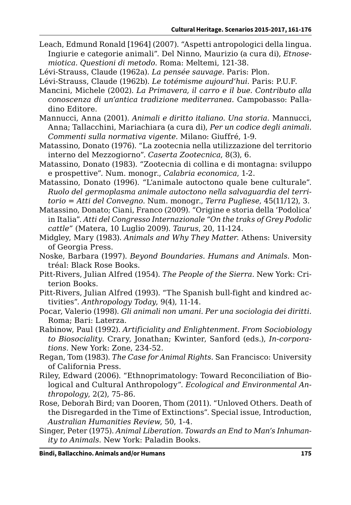Leach, Edmund Ronald [1964] (2007). "Aspetti antropologici della lingua. Ingiurie e categorie animali". Del Ninno, Maurizio (a cura di), *Etnosemiotica. Questioni di metodo*. Roma: Meltemi, 121-38.

Lévi-Strauss, Claude (1962a). *La pensée sauvage*. Paris: Plon.

Lévi-Strauss, Claude (1962b). *Le totémisme aujourd'hui*. Paris: P.U.F.

- Mancini, Michele (2002). *La Primavera, il carro e il bue. Contributo alla conoscenza di un'antica tradizione mediterranea*. Campobasso: Palladino Editore.
- Mannucci, Anna (2001). *Animali e diritto italiano. Una storia*. Mannucci, Anna; Tallacchini, Mariachiara (a cura di), *Per un codice degli animali. Commenti sulla normativa vigente*. Milano: Giuffré, 1-9.
- Matassino, Donato (1976). "La zootecnia nella utilizzazione del territorio interno del Mezzogiorno". *Caserta Zootecnica*, 8(3), 6.
- Matassino, Donato (1983). "Zootecnia di collina e di montagna: sviluppo e prospettive". Num. monogr., *Calabria economica*, 1-2.
- Matassino, Donato (1996). "L'animale autoctono quale bene culturale". *Ruolo del germoplasma animale autoctono nella salvaguardia del territorio = Atti del Convegno*. Num. monogr., *Terra Pugliese*, 45(11/12), 3.
- Matassino, Donato; Ciani, Franco (2009). "Origine e storia della 'Podolica' in Italia". *Atti del Congresso Internazionale "On the traks of Grey Podolic cattle"* (Matera, 10 Luglio 2009). *Taurus*, 20, 11-124.
- Midgley, Mary (1983). *Animals and Why They Matter*. Athens: University of Georgia Press.
- Noske, Barbara (1997). *Beyond Boundaries. Humans and Animals*. Montréal: Black Rose Books.
- Pitt-Rivers, Julian Alfred (1954). *The People of the Sierra*. New York: Criterion Books.
- Pitt-Rivers, Julian Alfred (1993). "The Spanish bull-fight and kindred activities". *Anthropology Today*, 9(4), 11-14.
- Pocar, Valerio (1998). *Gli animali non umani. Per una sociologia dei diritti*. Roma; Bari: Laterza.
- Rabinow, Paul (1992). *Artificiality and Enlightenment. From Sociobiology to Biosociality*. Crary, Jonathan; Kwinter, Sanford (eds.), *In-corporations*. New York: Zone, 234-52.
- Regan, Tom (1983). *The Case for Animal Rights*. San Francisco: University of California Press.
- Riley, Edward (2006). "Ethnoprimatology: Toward Reconciliation of Biological and Cultural Anthropology". *Ecological and Environmental Anthropology*, 2(2), 75-86.
- Rose, Deborah Bird; van Dooren, Thom (2011). "Unloved Others. Death of the Disregarded in the Time of Extinctions". Special issue, Introduction, *Australian Humanities Review*, 50, 1-4.
- Singer, Peter (1975). *Animal Liberation. Towards an End to Man's Inhumanity to Animals*. New York: Paladin Books.